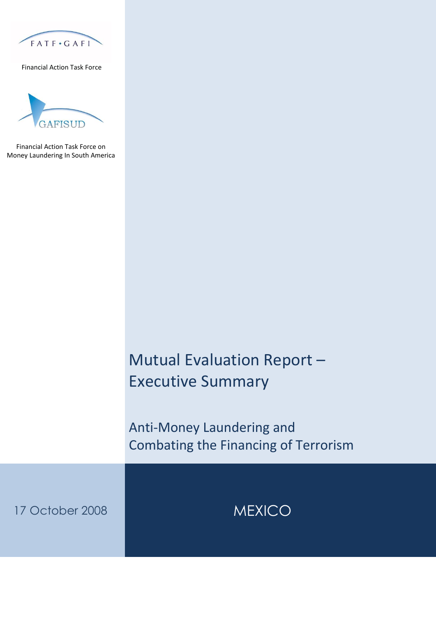

Financial Action Task Force



Financial Action Task Force on Money Laundering In South America

# Mutual Evaluation Report – Executive Summary

Anti-Money Laundering and Combating the Financing of Terrorism

17 October 2008 MEXICO

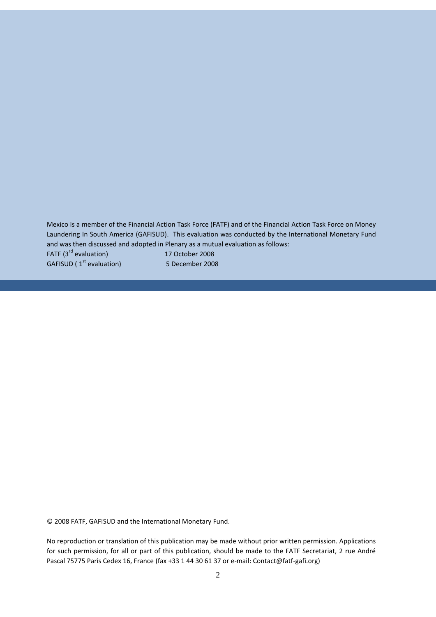Mexico is a member of the Financial Action Task Force (FATF) and of the Financial Action Task Force on Money Laundering In South America (GAFISUD). This evaluation was conducted by the International Monetary Fund and was then discussed and adopted in Plenary as a mutual evaluation as follows: FATF (3<sup>rd</sup> evaluation) 17 October 2008

GAFISUD (1<sup>st</sup> evaluation)

5 December 2008

© 2008 FATF, GAFISUD and the International Monetary Fund.

No reproduction or translation of this publication may be made without prior written permission. Applications for such permission, for all or part of this publication, should be made to the FATF Secretariat, 2 rue André Pascal 75775 Paris Cedex 16, France (fax +33 1 44 30 61 37 or e-mail[: Contact@fatf-gafi.org\)](mailto:Contact@fatf-gafi.org)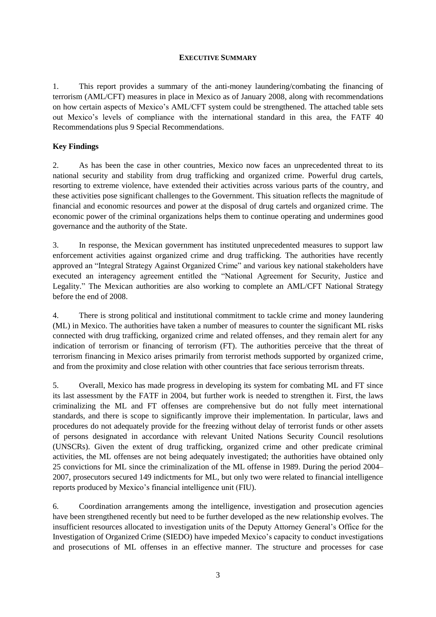#### **EXECUTIVE SUMMARY**

1. This report provides a summary of the anti-money laundering/combating the financing of terrorism (AML/CFT) measures in place in Mexico as of January 2008, along with recommendations on how certain aspects of Mexico's AML/CFT system could be strengthened. The attached table sets out Mexico's levels of compliance with the international standard in this area, the FATF 40 Recommendations plus 9 Special Recommendations.

# **Key Findings**

2. As has been the case in other countries, Mexico now faces an unprecedented threat to its national security and stability from drug trafficking and organized crime. Powerful drug cartels, resorting to extreme violence, have extended their activities across various parts of the country, and these activities pose significant challenges to the Government. This situation reflects the magnitude of financial and economic resources and power at the disposal of drug cartels and organized crime. The economic power of the criminal organizations helps them to continue operating and undermines good governance and the authority of the State.

3. In response, the Mexican government has instituted unprecedented measures to support law enforcement activities against organized crime and drug trafficking. The authorities have recently approved an "Integral Strategy Against Organized Crime" and various key national stakeholders have executed an interagency agreement entitled the "National Agreement for Security, Justice and Legality." The Mexican authorities are also working to complete an AML/CFT National Strategy before the end of 2008.

4. There is strong political and institutional commitment to tackle crime and money laundering (ML) in Mexico. The authorities have taken a number of measures to counter the significant ML risks connected with drug trafficking, organized crime and related offenses, and they remain alert for any indication of terrorism or financing of terrorism (FT). The authorities perceive that the threat of terrorism financing in Mexico arises primarily from terrorist methods supported by organized crime, and from the proximity and close relation with other countries that face serious terrorism threats.

5. Overall, Mexico has made progress in developing its system for combating ML and FT since its last assessment by the FATF in 2004, but further work is needed to strengthen it. First, the laws criminalizing the ML and FT offenses are comprehensive but do not fully meet international standards, and there is scope to significantly improve their implementation. In particular, laws and procedures do not adequately provide for the freezing without delay of terrorist funds or other assets of persons designated in accordance with relevant United Nations Security Council resolutions (UNSCRs). Given the extent of drug trafficking, organized crime and other predicate criminal activities, the ML offenses are not being adequately investigated; the authorities have obtained only 25 convictions for ML since the criminalization of the ML offense in 1989. During the period 2004– 2007, prosecutors secured 149 indictments for ML, but only two were related to financial intelligence reports produced by Mexico's financial intelligence unit (FIU).

6. Coordination arrangements among the intelligence, investigation and prosecution agencies have been strengthened recently but need to be further developed as the new relationship evolves. The insufficient resources allocated to investigation units of the Deputy Attorney General's Office for the Investigation of Organized Crime (SIEDO) have impeded Mexico's capacity to conduct investigations and prosecutions of ML offenses in an effective manner. The structure and processes for case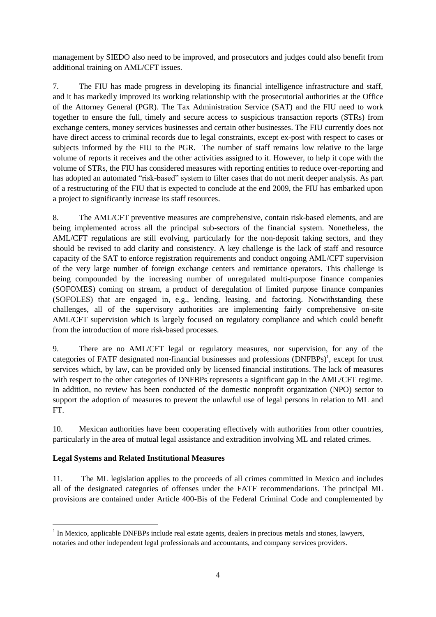management by SIEDO also need to be improved, and prosecutors and judges could also benefit from additional training on AML/CFT issues.

7. The FIU has made progress in developing its financial intelligence infrastructure and staff, and it has markedly improved its working relationship with the prosecutorial authorities at the Office of the Attorney General (PGR). The Tax Administration Service (SAT) and the FIU need to work together to ensure the full, timely and secure access to suspicious transaction reports (STRs) from exchange centers, money services businesses and certain other businesses. The FIU currently does not have direct access to criminal records due to legal constraints, except ex-post with respect to cases or subjects informed by the FIU to the PGR. The number of staff remains low relative to the large volume of reports it receives and the other activities assigned to it. However, to help it cope with the volume of STRs, the FIU has considered measures with reporting entities to reduce over-reporting and has adopted an automated "risk-based" system to filter cases that do not merit deeper analysis. As part of a restructuring of the FIU that is expected to conclude at the end 2009, the FIU has embarked upon a project to significantly increase its staff resources.

8. The AML/CFT preventive measures are comprehensive, contain risk-based elements, and are being implemented across all the principal sub-sectors of the financial system. Nonetheless, the AML/CFT regulations are still evolving, particularly for the non-deposit taking sectors, and they should be revised to add clarity and consistency. A key challenge is the lack of staff and resource capacity of the SAT to enforce registration requirements and conduct ongoing AML/CFT supervision of the very large number of foreign exchange centers and remittance operators. This challenge is being compounded by the increasing number of unregulated multi-purpose finance companies (SOFOMES) coming on stream, a product of deregulation of limited purpose finance companies (SOFOLES) that are engaged in, e.g., lending, leasing, and factoring. Notwithstanding these challenges, all of the supervisory authorities are implementing fairly comprehensive on-site AML/CFT supervision which is largely focused on regulatory compliance and which could benefit from the introduction of more risk-based processes.

9. There are no AML/CFT legal or regulatory measures, nor supervision, for any of the categories of FATF designated non-financial businesses and professions (DNFBPs)<sup>1</sup>, except for trust services which, by law, can be provided only by licensed financial institutions. The lack of measures with respect to the other categories of DNFBPs represents a significant gap in the AML/CFT regime. In addition, no review has been conducted of the domestic nonprofit organization (NPO) sector to support the adoption of measures to prevent the unlawful use of legal persons in relation to ML and FT.

10. Mexican authorities have been cooperating effectively with authorities from other countries, particularly in the area of mutual legal assistance and extradition involving ML and related crimes.

# **Legal Systems and Related Institutional Measures**

-

11. The ML legislation applies to the proceeds of all crimes committed in Mexico and includes all of the designated categories of offenses under the FATF recommendations. The principal ML provisions are contained under Article 400-Bis of the Federal Criminal Code and complemented by

 $<sup>1</sup>$  In Mexico, applicable DNFBPs include real estate agents, dealers in precious metals and stones, lawyers,</sup> notaries and other independent legal professionals and accountants, and company services providers.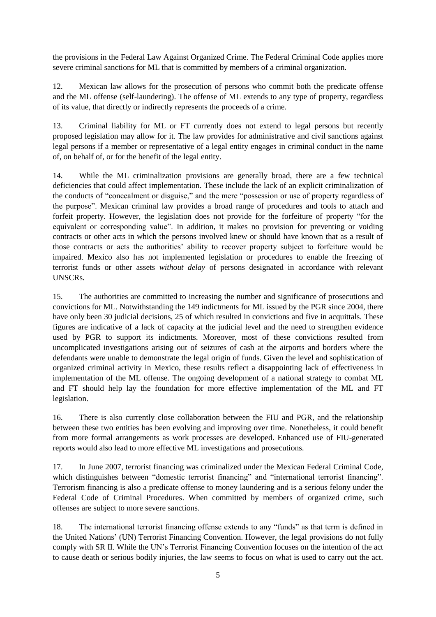the provisions in the Federal Law Against Organized Crime. The Federal Criminal Code applies more severe criminal sanctions for ML that is committed by members of a criminal organization.

12. Mexican law allows for the prosecution of persons who commit both the predicate offense and the ML offense (self-laundering). The offense of ML extends to any type of property, regardless of its value, that directly or indirectly represents the proceeds of a crime.

13. Criminal liability for ML or FT currently does not extend to legal persons but recently proposed legislation may allow for it. The law provides for administrative and civil sanctions against legal persons if a member or representative of a legal entity engages in criminal conduct in the name of, on behalf of, or for the benefit of the legal entity.

14. While the ML criminalization provisions are generally broad, there are a few technical deficiencies that could affect implementation. These include the lack of an explicit criminalization of the conducts of "concealment or disguise," and the mere "possession or use of property regardless of the purpose". Mexican criminal law provides a broad range of procedures and tools to attach and forfeit property. However, the legislation does not provide for the forfeiture of property "for the equivalent or corresponding value". In addition, it makes no provision for preventing or voiding contracts or other acts in which the persons involved knew or should have known that as a result of those contracts or acts the authorities' ability to recover property subject to forfeiture would be impaired. Mexico also has not implemented legislation or procedures to enable the freezing of terrorist funds or other assets *without delay* of persons designated in accordance with relevant UNSCRs.

15. The authorities are committed to increasing the number and significance of prosecutions and convictions for ML. Notwithstanding the 149 indictments for ML issued by the PGR since 2004, there have only been 30 judicial decisions, 25 of which resulted in convictions and five in acquittals. These figures are indicative of a lack of capacity at the judicial level and the need to strengthen evidence used by PGR to support its indictments. Moreover, most of these convictions resulted from uncomplicated investigations arising out of seizures of cash at the airports and borders where the defendants were unable to demonstrate the legal origin of funds. Given the level and sophistication of organized criminal activity in Mexico, these results reflect a disappointing lack of effectiveness in implementation of the ML offense. The ongoing development of a national strategy to combat ML and FT should help lay the foundation for more effective implementation of the ML and FT legislation.

16. There is also currently close collaboration between the FIU and PGR, and the relationship between these two entities has been evolving and improving over time. Nonetheless, it could benefit from more formal arrangements as work processes are developed. Enhanced use of FIU-generated reports would also lead to more effective ML investigations and prosecutions.

17. In June 2007, terrorist financing was criminalized under the Mexican Federal Criminal Code, which distinguishes between "domestic terrorist financing" and "international terrorist financing". Terrorism financing is also a predicate offense to money laundering and is a serious felony under the Federal Code of Criminal Procedures. When committed by members of organized crime, such offenses are subject to more severe sanctions.

18. The international terrorist financing offense extends to any "funds" as that term is defined in the United Nations' (UN) Terrorist Financing Convention. However, the legal provisions do not fully comply with SR II. While the UN's Terrorist Financing Convention focuses on the intention of the act to cause death or serious bodily injuries, the law seems to focus on what is used to carry out the act.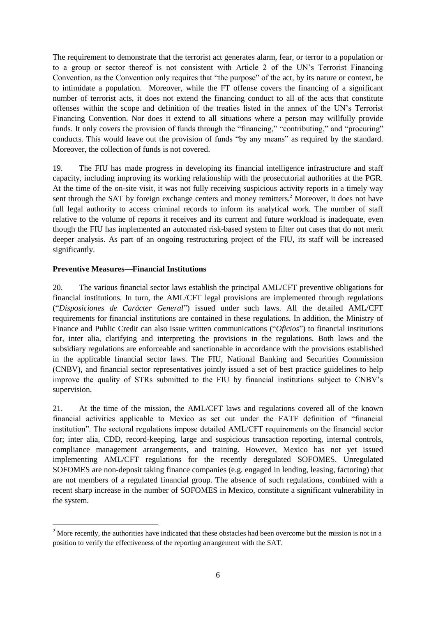The requirement to demonstrate that the terrorist act generates alarm, fear, or terror to a population or to a group or sector thereof is not consistent with Article 2 of the UN's Terrorist Financing Convention, as the Convention only requires that "the purpose" of the act, by its nature or context, be to intimidate a population. Moreover, while the FT offense covers the financing of a significant number of terrorist acts, it does not extend the financing conduct to all of the acts that constitute offenses within the scope and definition of the treaties listed in the annex of the UN's Terrorist Financing Convention. Nor does it extend to all situations where a person may willfully provide funds. It only covers the provision of funds through the "financing," "contributing," and "procuring" conducts. This would leave out the provision of funds "by any means" as required by the standard. Moreover, the collection of funds is not covered.

19. The FIU has made progress in developing its financial intelligence infrastructure and staff capacity, including improving its working relationship with the prosecutorial authorities at the PGR. At the time of the on-site visit, it was not fully receiving suspicious activity reports in a timely way sent through the SAT by foreign exchange centers and money remitters.<sup>2</sup> Moreover, it does not have full legal authority to access criminal records to inform its analytical work. The number of staff relative to the volume of reports it receives and its current and future workload is inadequate, even though the FIU has implemented an automated risk-based system to filter out cases that do not merit deeper analysis. As part of an ongoing restructuring project of the FIU, its staff will be increased significantly.

#### **Preventive Measures—Financial Institutions**

-

20. The various financial sector laws establish the principal AML/CFT preventive obligations for financial institutions. In turn, the AML/CFT legal provisions are implemented through regulations ("*Disposiciones de Carácter General*") issued under such laws. All the detailed AML/CFT requirements for financial institutions are contained in these regulations. In addition, the Ministry of Finance and Public Credit can also issue written communications ("*Oficios*") to financial institutions for, inter alia, clarifying and interpreting the provisions in the regulations. Both laws and the subsidiary regulations are enforceable and sanctionable in accordance with the provisions established in the applicable financial sector laws. The FIU, National Banking and Securities Commission (CNBV), and financial sector representatives jointly issued a set of best practice guidelines to help improve the quality of STRs submitted to the FIU by financial institutions subject to CNBV's supervision.

21. At the time of the mission, the AML/CFT laws and regulations covered all of the known financial activities applicable to Mexico as set out under the FATF definition of "financial institution". The sectoral regulations impose detailed AML/CFT requirements on the financial sector for; inter alia, CDD, record-keeping, large and suspicious transaction reporting, internal controls, compliance management arrangements, and training. However, Mexico has not yet issued implementing AML/CFT regulations for the recently deregulated SOFOMES. Unregulated SOFOMES are non-deposit taking finance companies (e.g. engaged in lending, leasing, factoring) that are not members of a regulated financial group. The absence of such regulations, combined with a recent sharp increase in the number of SOFOMES in Mexico, constitute a significant vulnerability in the system.

 $2$  More recently, the authorities have indicated that these obstacles had been overcome but the mission is not in a position to verify the effectiveness of the reporting arrangement with the SAT.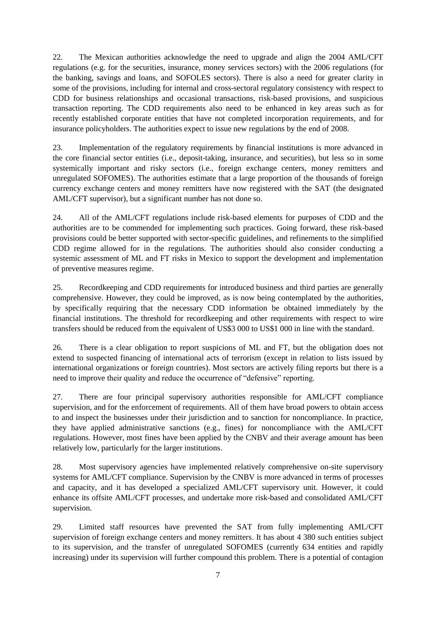22. The Mexican authorities acknowledge the need to upgrade and align the 2004 AML/CFT regulations (e.g. for the securities, insurance, money services sectors) with the 2006 regulations (for the banking, savings and loans, and SOFOLES sectors). There is also a need for greater clarity in some of the provisions, including for internal and cross-sectoral regulatory consistency with respect to CDD for business relationships and occasional transactions, risk-based provisions, and suspicious transaction reporting. The CDD requirements also need to be enhanced in key areas such as for recently established corporate entities that have not completed incorporation requirements, and for insurance policyholders. The authorities expect to issue new regulations by the end of 2008.

23. Implementation of the regulatory requirements by financial institutions is more advanced in the core financial sector entities (i.e., deposit-taking, insurance, and securities), but less so in some systemically important and risky sectors (i.e., foreign exchange centers, money remitters and unregulated SOFOMES). The authorities estimate that a large proportion of the thousands of foreign currency exchange centers and money remitters have now registered with the SAT (the designated AML/CFT supervisor), but a significant number has not done so.

24. All of the AML/CFT regulations include risk-based elements for purposes of CDD and the authorities are to be commended for implementing such practices. Going forward, these risk-based provisions could be better supported with sector-specific guidelines, and refinements to the simplified CDD regime allowed for in the regulations. The authorities should also consider conducting a systemic assessment of ML and FT risks in Mexico to support the development and implementation of preventive measures regime.

25. Recordkeeping and CDD requirements for introduced business and third parties are generally comprehensive. However, they could be improved, as is now being contemplated by the authorities, by specifically requiring that the necessary CDD information be obtained immediately by the financial institutions. The threshold for recordkeeping and other requirements with respect to wire transfers should be reduced from the equivalent of US\$3 000 to US\$1 000 in line with the standard.

26. There is a clear obligation to report suspicions of ML and FT, but the obligation does not extend to suspected financing of international acts of terrorism (except in relation to lists issued by international organizations or foreign countries). Most sectors are actively filing reports but there is a need to improve their quality and reduce the occurrence of "defensive" reporting.

27. There are four principal supervisory authorities responsible for AML/CFT compliance supervision, and for the enforcement of requirements. All of them have broad powers to obtain access to and inspect the businesses under their jurisdiction and to sanction for noncompliance. In practice, they have applied administrative sanctions (e.g., fines) for noncompliance with the AML/CFT regulations. However, most fines have been applied by the CNBV and their average amount has been relatively low, particularly for the larger institutions.

28. Most supervisory agencies have implemented relatively comprehensive on-site supervisory systems for AML/CFT compliance. Supervision by the CNBV is more advanced in terms of processes and capacity, and it has developed a specialized AML/CFT supervisory unit. However, it could enhance its offsite AML/CFT processes, and undertake more risk-based and consolidated AML/CFT supervision.

29. Limited staff resources have prevented the SAT from fully implementing AML/CFT supervision of foreign exchange centers and money remitters. It has about 4 380 such entities subject to its supervision, and the transfer of unregulated SOFOMES (currently 634 entities and rapidly increasing) under its supervision will further compound this problem. There is a potential of contagion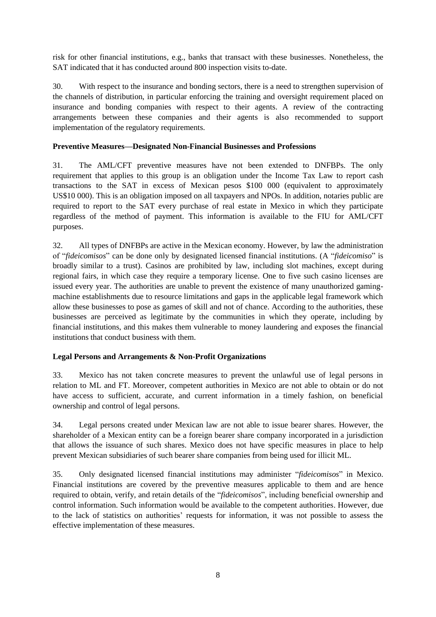risk for other financial institutions, e.g., banks that transact with these businesses. Nonetheless, the SAT indicated that it has conducted around 800 inspection visits to-date.

30. With respect to the insurance and bonding sectors, there is a need to strengthen supervision of the channels of distribution, in particular enforcing the training and oversight requirement placed on insurance and bonding companies with respect to their agents. A review of the contracting arrangements between these companies and their agents is also recommended to support implementation of the regulatory requirements.

### **Preventive Measures—Designated Non-Financial Businesses and Professions**

31. The AML/CFT preventive measures have not been extended to DNFBPs. The only requirement that applies to this group is an obligation under the Income Tax Law to report cash transactions to the SAT in excess of Mexican pesos \$100 000 (equivalent to approximately US\$10 000). This is an obligation imposed on all taxpayers and NPOs. In addition, notaries public are required to report to the SAT every purchase of real estate in Mexico in which they participate regardless of the method of payment. This information is available to the FIU for AML/CFT purposes.

32. All types of DNFBPs are active in the Mexican economy. However, by law the administration of "*fideicomisos*" can be done only by designated licensed financial institutions. (A "*fideicomiso*" is broadly similar to a trust). Casinos are prohibited by law, including slot machines, except during regional fairs, in which case they require a temporary license. One to five such casino licenses are issued every year. The authorities are unable to prevent the existence of many unauthorized gamingmachine establishments due to resource limitations and gaps in the applicable legal framework which allow these businesses to pose as games of skill and not of chance. According to the authorities, these businesses are perceived as legitimate by the communities in which they operate, including by financial institutions, and this makes them vulnerable to money laundering and exposes the financial institutions that conduct business with them.

# **Legal Persons and Arrangements & Non-Profit Organizations**

33. Mexico has not taken concrete measures to prevent the unlawful use of legal persons in relation to ML and FT. Moreover, competent authorities in Mexico are not able to obtain or do not have access to sufficient, accurate, and current information in a timely fashion, on beneficial ownership and control of legal persons.

34. Legal persons created under Mexican law are not able to issue bearer shares. However, the shareholder of a Mexican entity can be a foreign bearer share company incorporated in a jurisdiction that allows the issuance of such shares. Mexico does not have specific measures in place to help prevent Mexican subsidiaries of such bearer share companies from being used for illicit ML.

35. Only designated licensed financial institutions may administer "*fideicomisos*" in Mexico. Financial institutions are covered by the preventive measures applicable to them and are hence required to obtain, verify, and retain details of the "*fideicomisos*", including beneficial ownership and control information. Such information would be available to the competent authorities. However, due to the lack of statistics on authorities' requests for information, it was not possible to assess the effective implementation of these measures.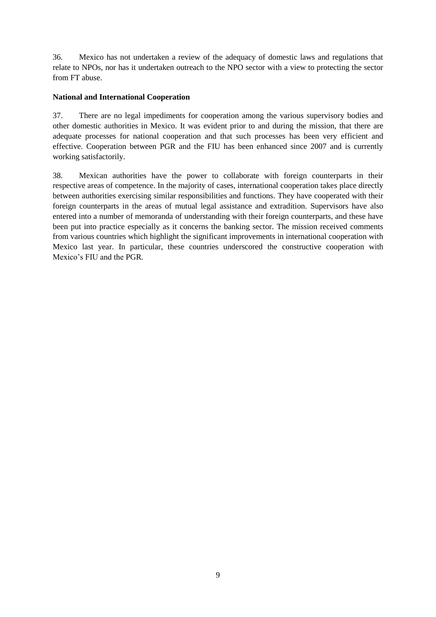36. Mexico has not undertaken a review of the adequacy of domestic laws and regulations that relate to NPOs, nor has it undertaken outreach to the NPO sector with a view to protecting the sector from FT abuse.

# **National and International Cooperation**

37. There are no legal impediments for cooperation among the various supervisory bodies and other domestic authorities in Mexico. It was evident prior to and during the mission, that there are adequate processes for national cooperation and that such processes has been very efficient and effective. Cooperation between PGR and the FIU has been enhanced since 2007 and is currently working satisfactorily.

38. Mexican authorities have the power to collaborate with foreign counterparts in their respective areas of competence. In the majority of cases, international cooperation takes place directly between authorities exercising similar responsibilities and functions. They have cooperated with their foreign counterparts in the areas of mutual legal assistance and extradition. Supervisors have also entered into a number of memoranda of understanding with their foreign counterparts, and these have been put into practice especially as it concerns the banking sector. The mission received comments from various countries which highlight the significant improvements in international cooperation with Mexico last year. In particular, these countries underscored the constructive cooperation with Mexico's FIU and the PGR.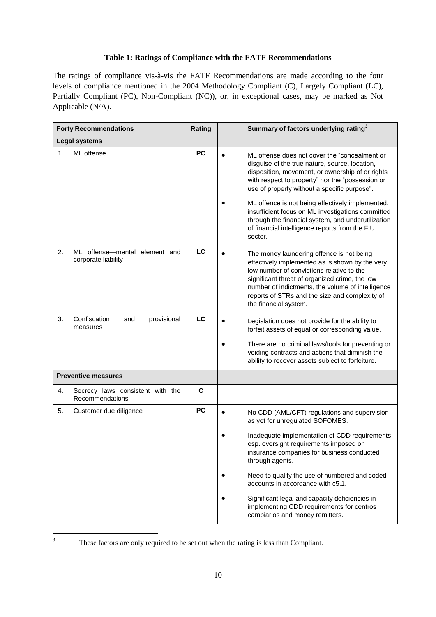#### **Table 1: Ratings of Compliance with the FATF Recommendations**

The ratings of compliance vis-à-vis the FATF Recommendations are made according to the four levels of compliance mentioned in the 2004 Methodology Compliant (C), Largely Compliant (LC), Partially Compliant (PC), Non-Compliant (NC)), or, in exceptional cases, may be marked as Not Applicable (N/A).

| <b>Forty Recommendations</b> |                                                      | Rating    | Summary of factors underlying rating <sup>3</sup>                                                                                                                                                                                                                                                                                                                                                                                                                                   |
|------------------------------|------------------------------------------------------|-----------|-------------------------------------------------------------------------------------------------------------------------------------------------------------------------------------------------------------------------------------------------------------------------------------------------------------------------------------------------------------------------------------------------------------------------------------------------------------------------------------|
|                              | <b>Legal systems</b>                                 |           |                                                                                                                                                                                                                                                                                                                                                                                                                                                                                     |
| $\mathbf{1}$ .               | ML offense                                           | <b>PC</b> | ML offense does not cover the "concealment or<br>disguise of the true nature, source, location,<br>disposition, movement, or ownership of or rights<br>with respect to property" nor the "possession or<br>use of property without a specific purpose".<br>ML offence is not being effectively implemented,<br>insufficient focus on ML investigations committed<br>through the financial system, and underutilization<br>of financial intelligence reports from the FIU<br>sector. |
| 2.                           | ML offense-mental element and<br>corporate liability | LC        | The money laundering offence is not being<br>effectively implemented as is shown by the very<br>low number of convictions relative to the<br>significant threat of organized crime, the low<br>number of indictments, the volume of intelligence<br>reports of STRs and the size and complexity of<br>the financial system.                                                                                                                                                         |
| 3.                           | Confiscation<br>provisional<br>and<br>measures       | LC        | Legislation does not provide for the ability to<br>forfeit assets of equal or corresponding value.<br>There are no criminal laws/tools for preventing or<br>voiding contracts and actions that diminish the<br>ability to recover assets subject to forfeiture.                                                                                                                                                                                                                     |
|                              | <b>Preventive measures</b>                           |           |                                                                                                                                                                                                                                                                                                                                                                                                                                                                                     |
| 4.                           | Secrecy laws consistent with the<br>Recommendations  | C         |                                                                                                                                                                                                                                                                                                                                                                                                                                                                                     |
| 5.                           | Customer due diligence                               | <b>PC</b> | No CDD (AML/CFT) regulations and supervision<br>as yet for unregulated SOFOMES.<br>Inadequate implementation of CDD requirements<br>esp. oversight requirements imposed on<br>insurance companies for business conducted<br>through agents.<br>Need to qualify the use of numbered and coded<br>accounts in accordance with c5.1.<br>Significant legal and capacity deficiencies in<br>implementing CDD requirements for centros<br>cambiarios and money remitters.                 |

 $\overline{3}$ 

These factors are only required to be set out when the rating is less than Compliant.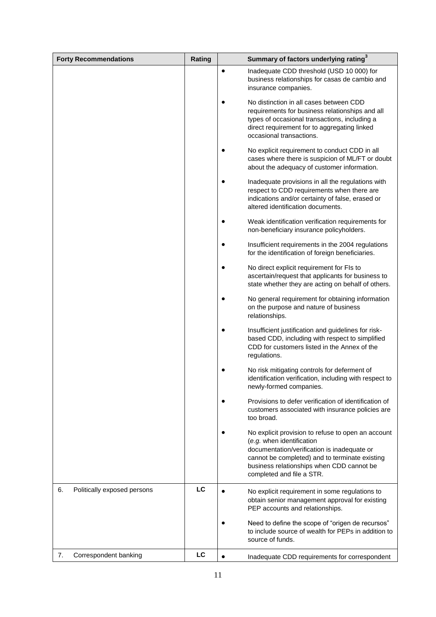| <b>Forty Recommendations</b>      | Rating |           | Summary of factors underlying rating <sup>3</sup>                                                                                                                                                                                                          |
|-----------------------------------|--------|-----------|------------------------------------------------------------------------------------------------------------------------------------------------------------------------------------------------------------------------------------------------------------|
|                                   |        |           | Inadequate CDD threshold (USD 10 000) for<br>business relationships for casas de cambio and<br>insurance companies.                                                                                                                                        |
|                                   |        |           | No distinction in all cases between CDD<br>requirements for business relationships and all<br>types of occasional transactions, including a<br>direct requirement for to aggregating linked<br>occasional transactions.                                    |
|                                   |        |           | No explicit requirement to conduct CDD in all<br>cases where there is suspicion of ML/FT or doubt<br>about the adequacy of customer information.                                                                                                           |
|                                   |        |           | Inadequate provisions in all the regulations with<br>respect to CDD requirements when there are<br>indications and/or certainty of false, erased or<br>altered identification documents.                                                                   |
|                                   |        |           | Weak identification verification requirements for<br>non-beneficiary insurance policyholders.                                                                                                                                                              |
|                                   |        |           | Insufficient requirements in the 2004 regulations<br>for the identification of foreign beneficiaries.                                                                                                                                                      |
|                                   |        |           | No direct explicit requirement for FIs to<br>ascertain/request that applicants for business to<br>state whether they are acting on behalf of others.                                                                                                       |
|                                   |        |           | No general requirement for obtaining information<br>on the purpose and nature of business<br>relationships.                                                                                                                                                |
|                                   |        |           | Insufficient justification and guidelines for risk-<br>based CDD, including with respect to simplified<br>CDD for customers listed in the Annex of the<br>regulations.                                                                                     |
|                                   |        |           | No risk mitigating controls for deferment of<br>identification verification, including with respect to<br>newly-formed companies.                                                                                                                          |
|                                   |        |           | Provisions to defer verification of identification of<br>customers associated with insurance policies are<br>too broad.                                                                                                                                    |
|                                   |        |           | No explicit provision to refuse to open an account<br>(e.g. when identification<br>documentation/verification is inadequate or<br>cannot be completed) and to terminate existing<br>business relationships when CDD cannot be<br>completed and file a STR. |
| 6.<br>Politically exposed persons | LC     |           | No explicit requirement in some regulations to<br>obtain senior management approval for existing<br>PEP accounts and relationships.                                                                                                                        |
|                                   |        |           | Need to define the scope of "origen de recursos"<br>to include source of wealth for PEPs in addition to<br>source of funds.                                                                                                                                |
| 7.<br>Correspondent banking       | LC     | $\bullet$ | Inadequate CDD requirements for correspondent                                                                                                                                                                                                              |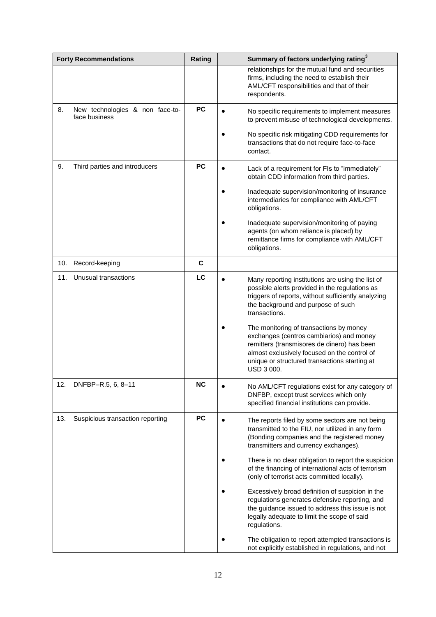|     | <b>Forty Recommendations</b>                     | Rating    | Summary of factors underlying rating <sup>3</sup>                                                                                                                                                                                                 |
|-----|--------------------------------------------------|-----------|---------------------------------------------------------------------------------------------------------------------------------------------------------------------------------------------------------------------------------------------------|
|     |                                                  |           | relationships for the mutual fund and securities<br>firms, including the need to establish their<br>AML/CFT responsibilities and that of their<br>respondents.                                                                                    |
| 8.  | New technologies & non face-to-<br>face business | <b>PC</b> | No specific requirements to implement measures<br>to prevent misuse of technological developments.                                                                                                                                                |
|     |                                                  |           | No specific risk mitigating CDD requirements for<br>transactions that do not require face-to-face<br>contact.                                                                                                                                     |
| 9.  | Third parties and introducers                    | <b>PC</b> | Lack of a requirement for FIs to "immediately"<br>obtain CDD information from third parties.                                                                                                                                                      |
|     |                                                  |           | Inadequate supervision/monitoring of insurance<br>intermediaries for compliance with AML/CFT<br>obligations.                                                                                                                                      |
|     |                                                  |           | Inadequate supervision/monitoring of paying<br>agents (on whom reliance is placed) by<br>remittance firms for compliance with AML/CFT<br>obligations.                                                                                             |
| 10. | Record-keeping                                   | C         |                                                                                                                                                                                                                                                   |
| 11. | Unusual transactions                             | LC        | Many reporting institutions are using the list of<br>possible alerts provided in the regulations as<br>triggers of reports, without sufficiently analyzing<br>the background and purpose of such<br>transactions.                                 |
|     |                                                  |           | The monitoring of transactions by money<br>exchanges (centros cambiarios) and money<br>remitters (transmisores de dinero) has been<br>almost exclusively focused on the control of<br>unique or structured transactions starting at<br>USD 3 000. |
| 12. | DNFBP-R.5, 6, 8-11                               | <b>NC</b> | No AML/CFT regulations exist for any category of<br>DNFBP, except trust services which only<br>specified financial institutions can provide.                                                                                                      |
| 13. | Suspicious transaction reporting                 | <b>PC</b> | The reports filed by some sectors are not being<br>transmitted to the FIU, nor utilized in any form<br>(Bonding companies and the registered money<br>transmitters and currency exchanges).                                                       |
|     |                                                  |           | There is no clear obligation to report the suspicion<br>of the financing of international acts of terrorism<br>(only of terrorist acts committed locally).                                                                                        |
|     |                                                  |           | Excessively broad definition of suspicion in the<br>regulations generates defensive reporting, and<br>the guidance issued to address this issue is not<br>legally adequate to limit the scope of said<br>regulations.                             |
|     |                                                  |           | The obligation to report attempted transactions is<br>not explicitly established in regulations, and not                                                                                                                                          |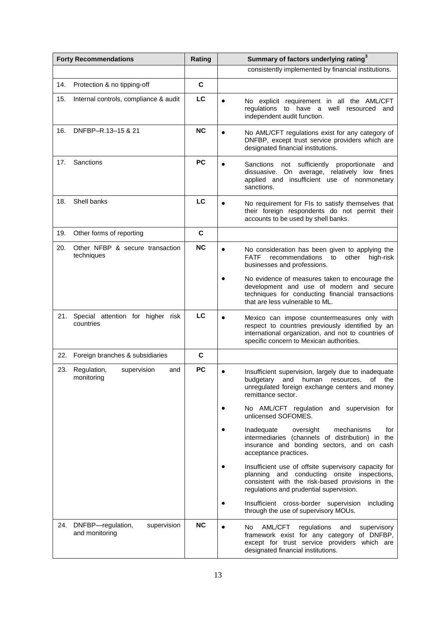|     | <b>Forty Recommendations</b>                       | Rating    | Summary of factors underlying rating <sup>3</sup>                                                                                                                                                   |
|-----|----------------------------------------------------|-----------|-----------------------------------------------------------------------------------------------------------------------------------------------------------------------------------------------------|
|     |                                                    |           | consistently implemented by financial institutions.                                                                                                                                                 |
| 14. | Protection & no tipping-off                        | C         |                                                                                                                                                                                                     |
| 15. | Internal controls, compliance & audit              | LC        | $\bullet$<br>No explicit requirement in all the AML/CFT<br>regulations to have a well resourced and<br>independent audit function.                                                                  |
| 16. | DNFBP-R.13-15 & 21                                 | <b>NC</b> | No AML/CFT regulations exist for any category of<br>DNFBP, except trust service providers which are<br>designated financial institutions.                                                           |
| 17. | Sanctions                                          | <b>PC</b> | not sufficiently<br>Sanctions<br>proportionate<br>$\bullet$<br>and<br>dissuasive. On average, relatively low fines<br>applied and insufficient use of nonmonetary<br>sanctions.                     |
| 18. | Shell banks                                        | LC        | No requirement for FIs to satisfy themselves that<br>their foreign respondents do not permit their<br>accounts to be used by shell banks.                                                           |
| 19. | Other forms of reporting                           | C         |                                                                                                                                                                                                     |
| 20. | Other NFBP & secure transaction<br>techniques      | <b>NC</b> | $\bullet$<br>No consideration has been given to applying the<br><b>FATF</b><br>recommendations<br>other<br>to<br>high-risk<br>businesses and professions.                                           |
|     |                                                    |           | No evidence of measures taken to encourage the<br>development and use of modern and secure<br>techniques for conducting financial transactions<br>that are less vulnerable to ML.                   |
|     | 21. Special attention for higher risk<br>countries | LC        | Mexico can impose countermeasures only with<br>respect to countries previously identified by an<br>international organization, and not to countries of<br>specific concern to Mexican authorities.  |
|     | 22. Foreign branches & subsidiaries                | C         |                                                                                                                                                                                                     |
| 23. | Regulation,<br>supervision<br>and<br>monitoring    | <b>PC</b> | Insufficient supervision, largely due to inadequate<br>budgetary and human resources, of the<br>unregulated foreign exchange centers and money<br>remittance sector.                                |
|     |                                                    |           | No AML/CFT regulation and supervision for<br>unlicensed SOFOMES.                                                                                                                                    |
|     |                                                    |           | Inadequate<br>mechanisms<br>oversight<br>for<br>intermediaries (channels of distribution) in the<br>insurance and bonding sectors, and on cash<br>acceptance practices.                             |
|     |                                                    |           | Insufficient use of offsite supervisory capacity for<br>planning and conducting onsite inspections,<br>consistent with the risk-based provisions in the<br>regulations and prudential supervision.  |
|     |                                                    |           | Insufficient cross-border supervision<br>including<br>through the use of supervisory MOUs.                                                                                                          |
| 24. | DNFBP-regulation,<br>supervision<br>and monitoring | NC        | AML/CFT<br>$\bullet$<br>No<br>regulations<br>and<br>supervisory<br>framework exist for any category of DNFBP,<br>except for trust service providers which are<br>designated financial institutions. |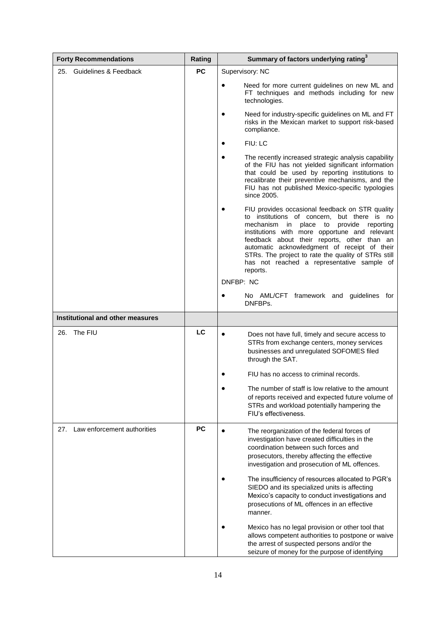| <b>Forty Recommendations</b>       | Rating    | Summary of factors underlying rating <sup>3</sup>                                                                                                                                                                                                                                                                                                                                                                            |
|------------------------------------|-----------|------------------------------------------------------------------------------------------------------------------------------------------------------------------------------------------------------------------------------------------------------------------------------------------------------------------------------------------------------------------------------------------------------------------------------|
| 25. Guidelines & Feedback          | <b>PC</b> | Supervisory: NC                                                                                                                                                                                                                                                                                                                                                                                                              |
|                                    |           | Need for more current guidelines on new ML and<br>FT techniques and methods including for new<br>technologies.                                                                                                                                                                                                                                                                                                               |
|                                    |           | Need for industry-specific guidelines on ML and FT<br>risks in the Mexican market to support risk-based<br>compliance.                                                                                                                                                                                                                                                                                                       |
|                                    |           | FIU: LC                                                                                                                                                                                                                                                                                                                                                                                                                      |
|                                    |           | The recently increased strategic analysis capability<br>of the FIU has not yielded significant information<br>that could be used by reporting institutions to<br>recalibrate their preventive mechanisms, and the<br>FIU has not published Mexico-specific typologies<br>since 2005.                                                                                                                                         |
|                                    |           | FIU provides occasional feedback on STR quality<br>to institutions of concern.<br>but there is no<br>mechanism<br>place<br>provide<br>reporting<br>in<br>to<br>institutions with more opportune and relevant<br>feedback about their reports, other than an<br>automatic acknowledgment of receipt of their<br>STRs. The project to rate the quality of STRs still<br>has not reached a representative sample of<br>reports. |
|                                    |           | DNFBP: NC                                                                                                                                                                                                                                                                                                                                                                                                                    |
|                                    |           | No AML/CFT framework and guidelines for<br>DNFBPs.                                                                                                                                                                                                                                                                                                                                                                           |
| Institutional and other measures   |           |                                                                                                                                                                                                                                                                                                                                                                                                                              |
| 26.<br>The FIU                     | LC        | Does not have full, timely and secure access to<br>STRs from exchange centers, money services<br>businesses and unregulated SOFOMES filed<br>through the SAT.                                                                                                                                                                                                                                                                |
|                                    |           | FIU has no access to criminal records.                                                                                                                                                                                                                                                                                                                                                                                       |
|                                    |           | The number of staff is low relative to the amount<br>of reports received and expected future volume of<br>STRs and workload potentially hampering the<br>FIU's effectiveness.                                                                                                                                                                                                                                                |
| Law enforcement authorities<br>27. | <b>PC</b> | The reorganization of the federal forces of<br>investigation have created difficulties in the<br>coordination between such forces and<br>prosecutors, thereby affecting the effective<br>investigation and prosecution of ML offences.                                                                                                                                                                                       |
|                                    |           | The insufficiency of resources allocated to PGR's<br>SIEDO and its specialized units is affecting<br>Mexico's capacity to conduct investigations and<br>prosecutions of ML offences in an effective<br>manner.                                                                                                                                                                                                               |
|                                    |           | Mexico has no legal provision or other tool that<br>allows competent authorities to postpone or waive<br>the arrest of suspected persons and/or the<br>seizure of money for the purpose of identifying                                                                                                                                                                                                                       |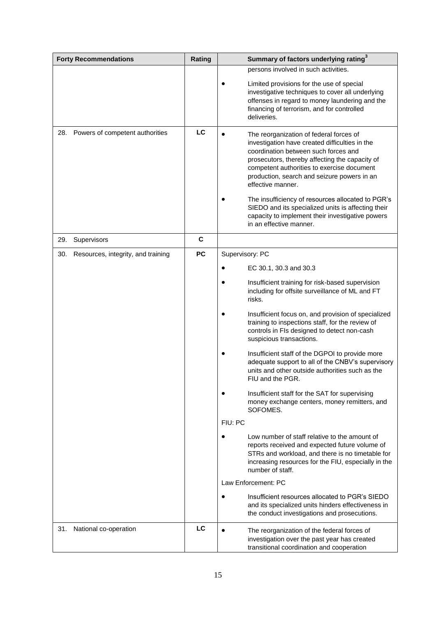| <b>Forty Recommendations</b>              | Rating    | Summary of factors underlying rating <sup>3</sup>                                                                                                                                                                                                                                                                                                                                                                                                                                               |
|-------------------------------------------|-----------|-------------------------------------------------------------------------------------------------------------------------------------------------------------------------------------------------------------------------------------------------------------------------------------------------------------------------------------------------------------------------------------------------------------------------------------------------------------------------------------------------|
|                                           |           | persons involved in such activities.<br>Limited provisions for the use of special<br>investigative techniques to cover all underlying<br>offenses in regard to money laundering and the<br>financing of terrorism, and for controlled<br>deliveries.                                                                                                                                                                                                                                            |
| 28. Powers of competent authorities       | LC        | The reorganization of federal forces of<br>investigation have created difficulties in the<br>coordination between such forces and<br>prosecutors, thereby affecting the capacity of<br>competent authorities to exercise document<br>production, search and seizure powers in an<br>effective manner.<br>The insufficiency of resources allocated to PGR's<br>SIEDO and its specialized units is affecting their<br>capacity to implement their investigative powers<br>in an effective manner. |
| 29.<br>Supervisors                        | C         |                                                                                                                                                                                                                                                                                                                                                                                                                                                                                                 |
| 30.<br>Resources, integrity, and training | <b>PC</b> | Supervisory: PC                                                                                                                                                                                                                                                                                                                                                                                                                                                                                 |
|                                           |           | EC 30.1, 30.3 and 30.3                                                                                                                                                                                                                                                                                                                                                                                                                                                                          |
|                                           |           | Insufficient training for risk-based supervision<br>including for offsite surveillance of ML and FT<br>risks.                                                                                                                                                                                                                                                                                                                                                                                   |
|                                           |           | Insufficient focus on, and provision of specialized<br>training to inspections staff, for the review of<br>controls in FIs designed to detect non-cash<br>suspicious transactions.                                                                                                                                                                                                                                                                                                              |
|                                           |           | Insufficient staff of the DGPOI to provide more<br>adequate support to all of the CNBV's supervisory<br>units and other outside authorities such as the<br>FIU and the PGR.                                                                                                                                                                                                                                                                                                                     |
|                                           |           | Insufficient staff for the SAT for supervising<br>money exchange centers, money remitters, and<br>SOFOMES.                                                                                                                                                                                                                                                                                                                                                                                      |
|                                           |           | FIU: PC                                                                                                                                                                                                                                                                                                                                                                                                                                                                                         |
|                                           |           | Low number of staff relative to the amount of<br>reports received and expected future volume of<br>STRs and workload, and there is no timetable for<br>increasing resources for the FIU, especially in the<br>number of staff.                                                                                                                                                                                                                                                                  |
|                                           |           | Law Enforcement: PC                                                                                                                                                                                                                                                                                                                                                                                                                                                                             |
|                                           |           | Insufficient resources allocated to PGR's SIEDO<br>and its specialized units hinders effectiveness in<br>the conduct investigations and prosecutions.                                                                                                                                                                                                                                                                                                                                           |
| National co-operation<br>31.              | LC        | The reorganization of the federal forces of<br>investigation over the past year has created<br>transitional coordination and cooperation                                                                                                                                                                                                                                                                                                                                                        |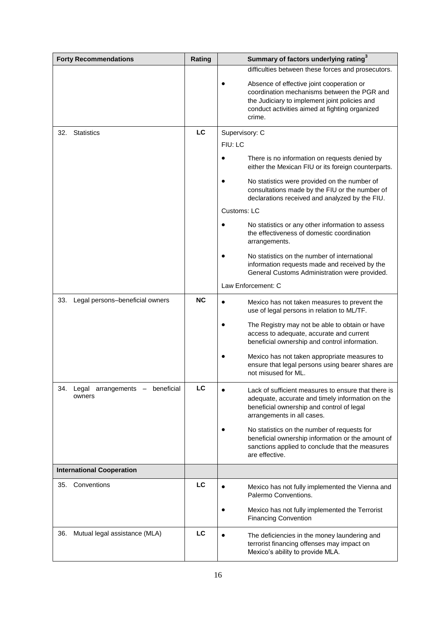|     | <b>Forty Recommendations</b>              | Rating    | Summary of factors underlying rating <sup>3</sup>                                                                                                                                                     |
|-----|-------------------------------------------|-----------|-------------------------------------------------------------------------------------------------------------------------------------------------------------------------------------------------------|
|     |                                           |           | difficulties between these forces and prosecutors.                                                                                                                                                    |
|     |                                           |           | Absence of effective joint cooperation or<br>coordination mechanisms between the PGR and<br>the Judiciary to implement joint policies and<br>conduct activities aimed at fighting organized<br>crime. |
| 32. | <b>Statistics</b>                         | LC        | Supervisory: C                                                                                                                                                                                        |
|     |                                           |           | FIU: LC                                                                                                                                                                                               |
|     |                                           |           | There is no information on requests denied by<br>either the Mexican FIU or its foreign counterparts.                                                                                                  |
|     |                                           |           | No statistics were provided on the number of<br>consultations made by the FIU or the number of<br>declarations received and analyzed by the FIU.                                                      |
|     |                                           |           | Customs: LC                                                                                                                                                                                           |
|     |                                           |           | No statistics or any other information to assess<br>the effectiveness of domestic coordination<br>arrangements.                                                                                       |
|     |                                           |           | No statistics on the number of international<br>information requests made and received by the<br>General Customs Administration were provided.                                                        |
|     |                                           |           | Law Enforcement: C                                                                                                                                                                                    |
| 33. | Legal persons-beneficial owners           | <b>NC</b> | $\bullet$<br>Mexico has not taken measures to prevent the<br>use of legal persons in relation to ML/TF.                                                                                               |
|     |                                           |           | The Registry may not be able to obtain or have<br>access to adequate, accurate and current<br>beneficial ownership and control information.                                                           |
|     |                                           |           | Mexico has not taken appropriate measures to<br>ensure that legal persons using bearer shares are<br>not misused for ML.                                                                              |
| 34. | Legal arrangements - beneficial<br>owners | LC        | Lack of sufficient measures to ensure that there is<br>adequate, accurate and timely information on the<br>beneficial ownership and control of legal<br>arrangements in all cases.                    |
|     |                                           |           | No statistics on the number of requests for<br>beneficial ownership information or the amount of<br>sanctions applied to conclude that the measures<br>are effective.                                 |
|     | <b>International Cooperation</b>          |           |                                                                                                                                                                                                       |
| 35. | Conventions                               | LC        | Mexico has not fully implemented the Vienna and<br>Palermo Conventions.                                                                                                                               |
|     |                                           |           | Mexico has not fully implemented the Terrorist<br><b>Financing Convention</b>                                                                                                                         |
| 36. | Mutual legal assistance (MLA)             | LC        | The deficiencies in the money laundering and<br>terrorist financing offenses may impact on<br>Mexico's ability to provide MLA.                                                                        |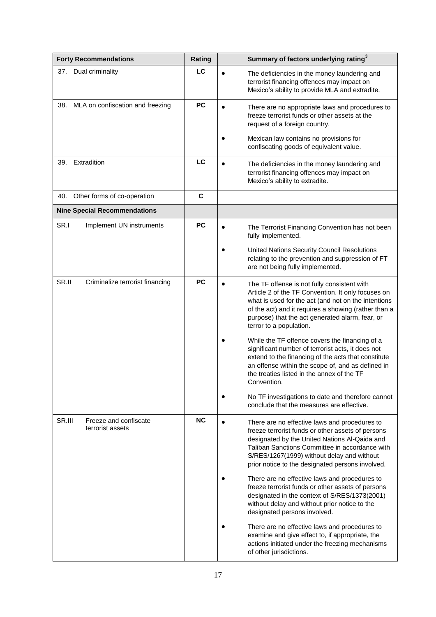| <b>Forty Recommendations</b>                        | Rating    | Summary of factors underlying rating <sup>3</sup>                                                                                                                                                                                                                                                                    |
|-----------------------------------------------------|-----------|----------------------------------------------------------------------------------------------------------------------------------------------------------------------------------------------------------------------------------------------------------------------------------------------------------------------|
| Dual criminality<br>37.                             | LC        | The deficiencies in the money laundering and<br>terrorist financing offences may impact on<br>Mexico's ability to provide MLA and extradite.                                                                                                                                                                         |
| MLA on confiscation and freezing<br>38.             | <b>PC</b> | There are no appropriate laws and procedures to<br>freeze terrorist funds or other assets at the<br>request of a foreign country.                                                                                                                                                                                    |
|                                                     |           | Mexican law contains no provisions for<br>confiscating goods of equivalent value.                                                                                                                                                                                                                                    |
| Extradition<br>39.                                  | LC        | The deficiencies in the money laundering and<br>terrorist financing offences may impact on<br>Mexico's ability to extradite.                                                                                                                                                                                         |
| Other forms of co-operation<br>40.                  | C         |                                                                                                                                                                                                                                                                                                                      |
| <b>Nine Special Recommendations</b>                 |           |                                                                                                                                                                                                                                                                                                                      |
| SR.I<br>Implement UN instruments                    | <b>PC</b> | The Terrorist Financing Convention has not been<br>fully implemented.                                                                                                                                                                                                                                                |
|                                                     |           | United Nations Security Council Resolutions<br>relating to the prevention and suppression of FT<br>are not being fully implemented.                                                                                                                                                                                  |
| SR.II<br>Criminalize terrorist financing            | <b>PC</b> | The TF offense is not fully consistent with<br>$\bullet$<br>Article 2 of the TF Convention. It only focuses on<br>what is used for the act (and not on the intentions<br>of the act) and it requires a showing (rather than a<br>purpose) that the act generated alarm, fear, or<br>terror to a population.          |
|                                                     |           | While the TF offence covers the financing of a<br>significant number of terrorist acts, it does not<br>extend to the financing of the acts that constitute<br>an offense within the scope of, and as defined in<br>the treaties listed in the annex of the TF<br>Convention.                                         |
|                                                     |           | No TF investigations to date and therefore cannot<br>conclude that the measures are effective.                                                                                                                                                                                                                       |
| SR.III<br>Freeze and confiscate<br>terrorist assets | <b>NC</b> | There are no effective laws and procedures to<br>$\bullet$<br>freeze terrorist funds or other assets of persons<br>designated by the United Nations Al-Qaida and<br>Taliban Sanctions Committee in accordance with<br>S/RES/1267(1999) without delay and without<br>prior notice to the designated persons involved. |
|                                                     |           | There are no effective laws and procedures to<br>freeze terrorist funds or other assets of persons<br>designated in the context of S/RES/1373(2001)<br>without delay and without prior notice to the<br>designated persons involved.                                                                                 |
|                                                     |           | There are no effective laws and procedures to<br>examine and give effect to, if appropriate, the<br>actions initiated under the freezing mechanisms<br>of other jurisdictions.                                                                                                                                       |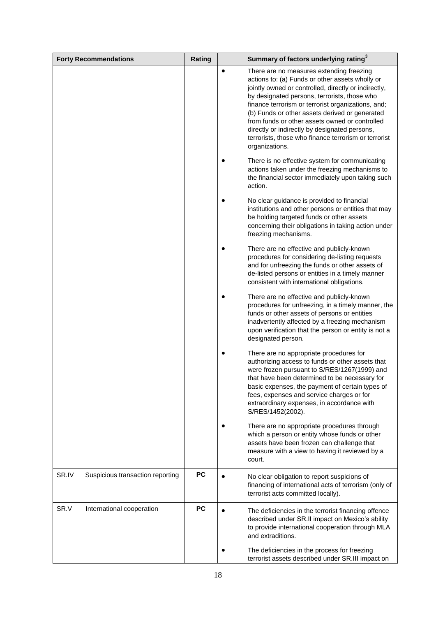| <b>Forty Recommendations</b>              | Rating    | Summary of factors underlying rating <sup>3</sup>                                                                                                                                                                                                                                                                                                                                                                                                                                        |
|-------------------------------------------|-----------|------------------------------------------------------------------------------------------------------------------------------------------------------------------------------------------------------------------------------------------------------------------------------------------------------------------------------------------------------------------------------------------------------------------------------------------------------------------------------------------|
|                                           |           | There are no measures extending freezing<br>actions to: (a) Funds or other assets wholly or<br>jointly owned or controlled, directly or indirectly,<br>by designated persons, terrorists, those who<br>finance terrorism or terrorist organizations, and;<br>(b) Funds or other assets derived or generated<br>from funds or other assets owned or controlled<br>directly or indirectly by designated persons,<br>terrorists, those who finance terrorism or terrorist<br>organizations. |
|                                           |           | There is no effective system for communicating<br>actions taken under the freezing mechanisms to<br>the financial sector immediately upon taking such<br>action.                                                                                                                                                                                                                                                                                                                         |
|                                           |           | No clear guidance is provided to financial<br>institutions and other persons or entities that may<br>be holding targeted funds or other assets<br>concerning their obligations in taking action under<br>freezing mechanisms.                                                                                                                                                                                                                                                            |
|                                           |           | There are no effective and publicly-known<br>procedures for considering de-listing requests<br>and for unfreezing the funds or other assets of<br>de-listed persons or entities in a timely manner<br>consistent with international obligations.                                                                                                                                                                                                                                         |
|                                           |           | There are no effective and publicly-known<br>procedures for unfreezing, in a timely manner, the<br>funds or other assets of persons or entities<br>inadvertently affected by a freezing mechanism<br>upon verification that the person or entity is not a<br>designated person.                                                                                                                                                                                                          |
|                                           |           | There are no appropriate procedures for<br>authorizing access to funds or other assets that<br>were frozen pursuant to S/RES/1267(1999) and<br>that have been determined to be necessary for<br>basic expenses, the payment of certain types of<br>fees, expenses and service charges or for<br>extraordinary expenses, in accordance with<br>S/RES/1452(2002).                                                                                                                          |
|                                           |           | There are no appropriate procedures through<br>which a person or entity whose funds or other<br>assets have been frozen can challenge that<br>measure with a view to having it reviewed by a<br>court.                                                                                                                                                                                                                                                                                   |
| SR.IV<br>Suspicious transaction reporting | <b>PC</b> | No clear obligation to report suspicions of<br>financing of international acts of terrorism (only of<br>terrorist acts committed locally).                                                                                                                                                                                                                                                                                                                                               |
| SR.V<br>International cooperation         | <b>PC</b> | The deficiencies in the terrorist financing offence<br>described under SR.II impact on Mexico's ability<br>to provide international cooperation through MLA<br>and extraditions.                                                                                                                                                                                                                                                                                                         |
|                                           |           | The deficiencies in the process for freezing<br>terrorist assets described under SR.III impact on                                                                                                                                                                                                                                                                                                                                                                                        |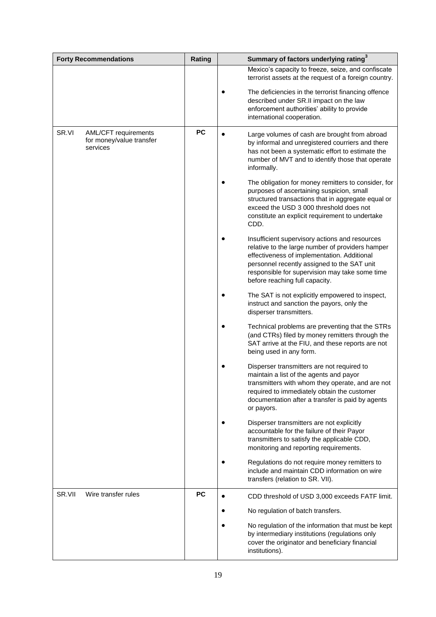| <b>Forty Recommendations</b>                                          | Rating    | Summary of factors underlying rating <sup>3</sup>                                                                                                                                                                                                                                    |
|-----------------------------------------------------------------------|-----------|--------------------------------------------------------------------------------------------------------------------------------------------------------------------------------------------------------------------------------------------------------------------------------------|
|                                                                       |           | Mexico's capacity to freeze, seize, and confiscate<br>terrorist assets at the request of a foreign country.                                                                                                                                                                          |
|                                                                       |           | The deficiencies in the terrorist financing offence<br>described under SR.II impact on the law<br>enforcement authorities' ability to provide<br>international cooperation.                                                                                                          |
| SR.VI<br>AML/CFT requirements<br>for money/value transfer<br>services | <b>PC</b> | Large volumes of cash are brought from abroad<br>by informal and unregistered courriers and there<br>has not been a systematic effort to estimate the<br>number of MVT and to identify those that operate<br>informally.                                                             |
|                                                                       |           | The obligation for money remitters to consider, for<br>purposes of ascertaining suspicion, small<br>structured transactions that in aggregate equal or<br>exceed the USD 3 000 threshold does not<br>constitute an explicit requirement to undertake<br>CDD.                         |
|                                                                       |           | Insufficient supervisory actions and resources<br>relative to the large number of providers hamper<br>effectiveness of implementation. Additional<br>personnel recently assigned to the SAT unit<br>responsible for supervision may take some time<br>before reaching full capacity. |
|                                                                       |           | The SAT is not explicitly empowered to inspect,<br>instruct and sanction the payors, only the<br>disperser transmitters.                                                                                                                                                             |
|                                                                       |           | Technical problems are preventing that the STRs<br>(and CTRs) filed by money remitters through the<br>SAT arrive at the FIU, and these reports are not<br>being used in any form.                                                                                                    |
|                                                                       |           | Disperser transmitters are not required to<br>maintain a list of the agents and payor<br>transmitters with whom they operate, and are not<br>required to immediately obtain the customer<br>documentation after a transfer is paid by agents<br>or payors.                           |
|                                                                       |           | Disperser transmitters are not explicitly<br>accountable for the failure of their Payor<br>transmitters to satisfy the applicable CDD,<br>monitoring and reporting requirements.                                                                                                     |
|                                                                       |           | Regulations do not require money remitters to<br>include and maintain CDD information on wire<br>transfers (relation to SR. VII).                                                                                                                                                    |
| SR.VII<br>Wire transfer rules                                         | <b>PC</b> | CDD threshold of USD 3,000 exceeds FATF limit.                                                                                                                                                                                                                                       |
|                                                                       |           | No regulation of batch transfers.                                                                                                                                                                                                                                                    |
|                                                                       |           | No regulation of the information that must be kept<br>by intermediary institutions (regulations only<br>cover the originator and beneficiary financial<br>institutions).                                                                                                             |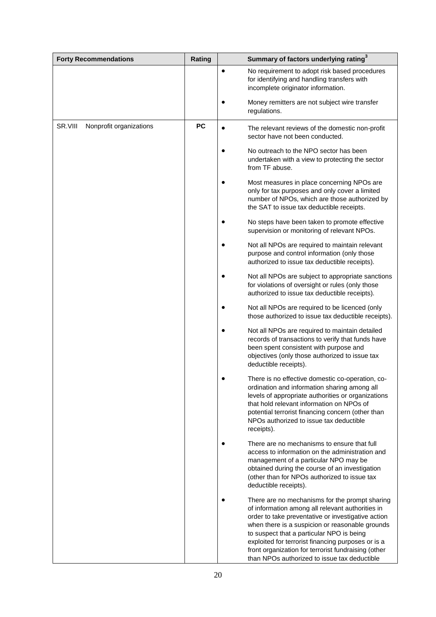| <b>Forty Recommendations</b>       | Rating    | Summary of factors underlying rating <sup>3</sup>                                                                                                                                                                                                                                                                                                                                                                     |
|------------------------------------|-----------|-----------------------------------------------------------------------------------------------------------------------------------------------------------------------------------------------------------------------------------------------------------------------------------------------------------------------------------------------------------------------------------------------------------------------|
|                                    |           | No requirement to adopt risk based procedures<br>$\bullet$<br>for identifying and handling transfers with<br>incomplete originator information.                                                                                                                                                                                                                                                                       |
|                                    |           | Money remitters are not subject wire transfer<br>regulations.                                                                                                                                                                                                                                                                                                                                                         |
| SR.VIII<br>Nonprofit organizations | <b>PC</b> | The relevant reviews of the domestic non-profit<br>$\bullet$<br>sector have not been conducted.                                                                                                                                                                                                                                                                                                                       |
|                                    |           | No outreach to the NPO sector has been<br>undertaken with a view to protecting the sector<br>from TF abuse.                                                                                                                                                                                                                                                                                                           |
|                                    |           | Most measures in place concerning NPOs are<br>only for tax purposes and only cover a limited<br>number of NPOs, which are those authorized by<br>the SAT to issue tax deductible receipts.                                                                                                                                                                                                                            |
|                                    |           | No steps have been taken to promote effective<br>supervision or monitoring of relevant NPOs.                                                                                                                                                                                                                                                                                                                          |
|                                    |           | Not all NPOs are required to maintain relevant<br>purpose and control information (only those<br>authorized to issue tax deductible receipts).                                                                                                                                                                                                                                                                        |
|                                    |           | Not all NPOs are subject to appropriate sanctions<br>for violations of oversight or rules (only those<br>authorized to issue tax deductible receipts).                                                                                                                                                                                                                                                                |
|                                    |           | Not all NPOs are required to be licenced (only<br>those authorized to issue tax deductible receipts).                                                                                                                                                                                                                                                                                                                 |
|                                    |           | Not all NPOs are required to maintain detailed<br>records of transactions to verify that funds have<br>been spent consistent with purpose and<br>objectives (only those authorized to issue tax<br>deductible receipts).                                                                                                                                                                                              |
|                                    |           | There is no effective domestic co-operation, co-<br>ordination and information sharing among all<br>levels of appropriate authorities or organizations<br>that hold relevant information on NPOs of<br>potential terrorist financing concern (other than<br>NPOs authorized to issue tax deductible<br>receipts).                                                                                                     |
|                                    |           | There are no mechanisms to ensure that full<br>access to information on the administration and<br>management of a particular NPO may be<br>obtained during the course of an investigation<br>(other than for NPOs authorized to issue tax<br>deductible receipts).                                                                                                                                                    |
|                                    |           | There are no mechanisms for the prompt sharing<br>of information among all relevant authorities in<br>order to take preventative or investigative action<br>when there is a suspicion or reasonable grounds<br>to suspect that a particular NPO is being<br>exploited for terrorist financing purposes or is a<br>front organization for terrorist fundraising (other<br>than NPOs authorized to issue tax deductible |